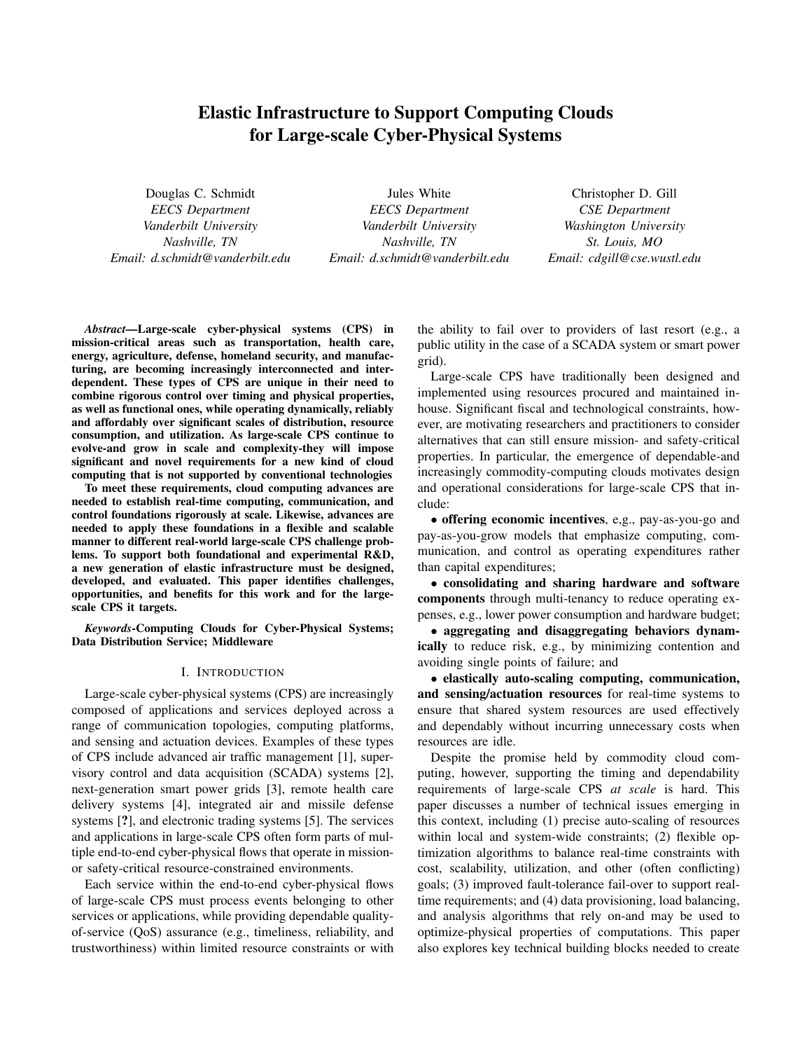# Elastic Infrastructure to Support Computing Clouds for Large-scale Cyber-Physical Systems

Douglas C. Schmidt *EECS Department Vanderbilt University Nashville, TN Email: d.schmidt@vanderbilt.edu*

Jules White *EECS Department Vanderbilt University Nashville, TN Email: d.schmidt@vanderbilt.edu*

Christopher D. Gill *CSE Department Washington University St. Louis, MO Email: cdgill@cse.wustl.edu*

*Abstract*—Large-scale cyber-physical systems (CPS) in mission-critical areas such as transportation, health care, energy, agriculture, defense, homeland security, and manufacturing, are becoming increasingly interconnected and interdependent. These types of CPS are unique in their need to combine rigorous control over timing and physical properties, as well as functional ones, while operating dynamically, reliably and affordably over significant scales of distribution, resource consumption, and utilization. As large-scale CPS continue to evolve-and grow in scale and complexity-they will impose significant and novel requirements for a new kind of cloud computing that is not supported by conventional technologies

To meet these requirements, cloud computing advances are needed to establish real-time computing, communication, and control foundations rigorously at scale. Likewise, advances are needed to apply these foundations in a flexible and scalable manner to different real-world large-scale CPS challenge problems. To support both foundational and experimental R&D, a new generation of elastic infrastructure must be designed, developed, and evaluated. This paper identifies challenges, opportunities, and benefits for this work and for the largescale CPS it targets.

*Keywords*-Computing Clouds for Cyber-Physical Systems; Data Distribution Service; Middleware

#### I. INTRODUCTION

Large-scale cyber-physical systems (CPS) are increasingly composed of applications and services deployed across a range of communication topologies, computing platforms, and sensing and actuation devices. Examples of these types of CPS include advanced air traffic management [1], supervisory control and data acquisition (SCADA) systems [2], next-generation smart power grids [3], remote health care delivery systems [4], integrated air and missile defense systems [?], and electronic trading systems [5]. The services and applications in large-scale CPS often form parts of multiple end-to-end cyber-physical flows that operate in missionor safety-critical resource-constrained environments.

Each service within the end-to-end cyber-physical flows of large-scale CPS must process events belonging to other services or applications, while providing dependable qualityof-service (QoS) assurance (e.g., timeliness, reliability, and trustworthiness) within limited resource constraints or with the ability to fail over to providers of last resort (e.g., a public utility in the case of a SCADA system or smart power grid).

Large-scale CPS have traditionally been designed and implemented using resources procured and maintained inhouse. Significant fiscal and technological constraints, however, are motivating researchers and practitioners to consider alternatives that can still ensure mission- and safety-critical properties. In particular, the emergence of dependable-and increasingly commodity-computing clouds motivates design and operational considerations for large-scale CPS that include:

• offering economic incentives, e,g., pay-as-you-go and pay-as-you-grow models that emphasize computing, communication, and control as operating expenditures rather than capital expenditures;

• consolidating and sharing hardware and software components through multi-tenancy to reduce operating expenses, e.g., lower power consumption and hardware budget;

• aggregating and disaggregating behaviors dynamically to reduce risk, e.g., by minimizing contention and avoiding single points of failure; and

• elastically auto-scaling computing, communication, and sensing/actuation resources for real-time systems to ensure that shared system resources are used effectively and dependably without incurring unnecessary costs when resources are idle.

Despite the promise held by commodity cloud computing, however, supporting the timing and dependability requirements of large-scale CPS *at scale* is hard. This paper discusses a number of technical issues emerging in this context, including (1) precise auto-scaling of resources within local and system-wide constraints; (2) flexible optimization algorithms to balance real-time constraints with cost, scalability, utilization, and other (often conflicting) goals; (3) improved fault-tolerance fail-over to support realtime requirements; and (4) data provisioning, load balancing, and analysis algorithms that rely on-and may be used to optimize-physical properties of computations. This paper also explores key technical building blocks needed to create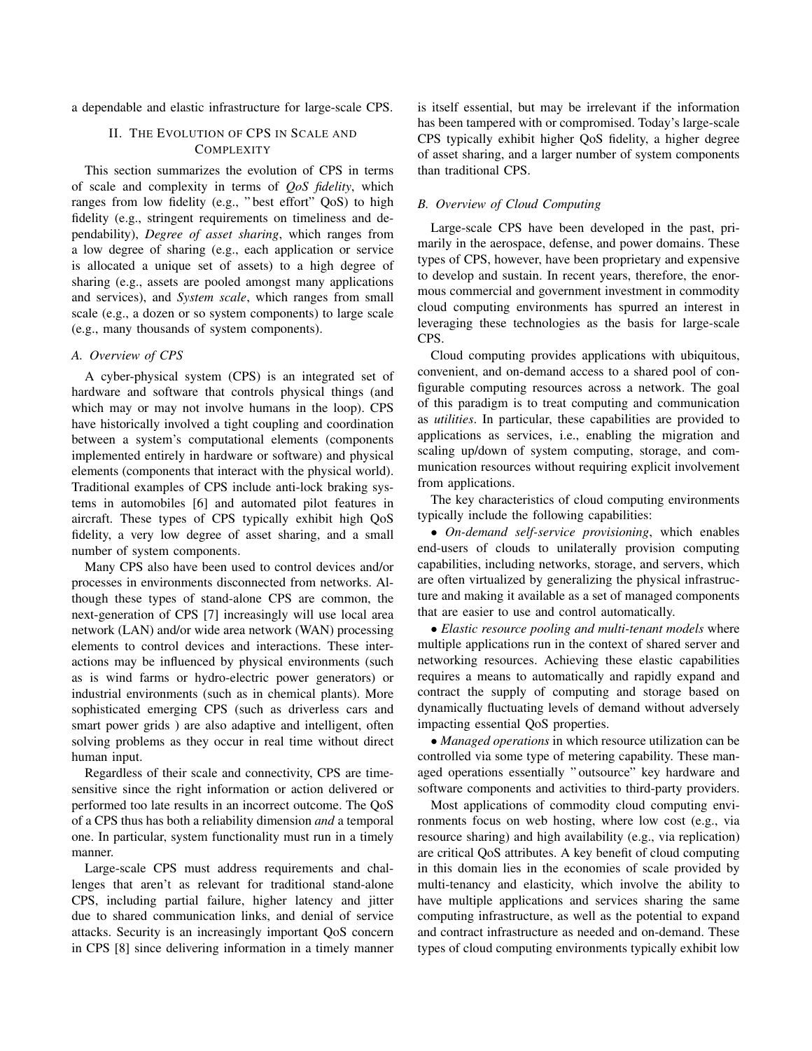a dependable and elastic infrastructure for large-scale CPS.

## II. THE EVOLUTION OF CPS IN SCALE AND **COMPLEXITY**

This section summarizes the evolution of CPS in terms of scale and complexity in terms of *QoS fidelity*, which ranges from low fidelity (e.g., " best effort" QoS) to high fidelity (e.g., stringent requirements on timeliness and dependability), *Degree of asset sharing*, which ranges from a low degree of sharing (e.g., each application or service is allocated a unique set of assets) to a high degree of sharing (e.g., assets are pooled amongst many applications and services), and *System scale*, which ranges from small scale (e.g., a dozen or so system components) to large scale (e.g., many thousands of system components).

### *A. Overview of CPS*

A cyber-physical system (CPS) is an integrated set of hardware and software that controls physical things (and which may or may not involve humans in the loop). CPS have historically involved a tight coupling and coordination between a system's computational elements (components implemented entirely in hardware or software) and physical elements (components that interact with the physical world). Traditional examples of CPS include anti-lock braking systems in automobiles [6] and automated pilot features in aircraft. These types of CPS typically exhibit high QoS fidelity, a very low degree of asset sharing, and a small number of system components.

Many CPS also have been used to control devices and/or processes in environments disconnected from networks. Although these types of stand-alone CPS are common, the next-generation of CPS [7] increasingly will use local area network (LAN) and/or wide area network (WAN) processing elements to control devices and interactions. These interactions may be influenced by physical environments (such as is wind farms or hydro-electric power generators) or industrial environments (such as in chemical plants). More sophisticated emerging CPS (such as driverless cars and smart power grids ) are also adaptive and intelligent, often solving problems as they occur in real time without direct human input.

Regardless of their scale and connectivity, CPS are timesensitive since the right information or action delivered or performed too late results in an incorrect outcome. The QoS of a CPS thus has both a reliability dimension *and* a temporal one. In particular, system functionality must run in a timely manner.

Large-scale CPS must address requirements and challenges that aren't as relevant for traditional stand-alone CPS, including partial failure, higher latency and jitter due to shared communication links, and denial of service attacks. Security is an increasingly important QoS concern in CPS [8] since delivering information in a timely manner is itself essential, but may be irrelevant if the information has been tampered with or compromised. Today's large-scale CPS typically exhibit higher QoS fidelity, a higher degree of asset sharing, and a larger number of system components than traditional CPS.

## *B. Overview of Cloud Computing*

Large-scale CPS have been developed in the past, primarily in the aerospace, defense, and power domains. These types of CPS, however, have been proprietary and expensive to develop and sustain. In recent years, therefore, the enormous commercial and government investment in commodity cloud computing environments has spurred an interest in leveraging these technologies as the basis for large-scale CPS.

Cloud computing provides applications with ubiquitous, convenient, and on-demand access to a shared pool of configurable computing resources across a network. The goal of this paradigm is to treat computing and communication as *utilities*. In particular, these capabilities are provided to applications as services, i.e., enabling the migration and scaling up/down of system computing, storage, and communication resources without requiring explicit involvement from applications.

The key characteristics of cloud computing environments typically include the following capabilities:

• *On-demand self-service provisioning*, which enables end-users of clouds to unilaterally provision computing capabilities, including networks, storage, and servers, which are often virtualized by generalizing the physical infrastructure and making it available as a set of managed components that are easier to use and control automatically.

• *Elastic resource pooling and multi-tenant models* where multiple applications run in the context of shared server and networking resources. Achieving these elastic capabilities requires a means to automatically and rapidly expand and contract the supply of computing and storage based on dynamically fluctuating levels of demand without adversely impacting essential QoS properties.

• *Managed operations* in which resource utilization can be controlled via some type of metering capability. These managed operations essentially " outsource" key hardware and software components and activities to third-party providers.

Most applications of commodity cloud computing environments focus on web hosting, where low cost (e.g., via resource sharing) and high availability (e.g., via replication) are critical QoS attributes. A key benefit of cloud computing in this domain lies in the economies of scale provided by multi-tenancy and elasticity, which involve the ability to have multiple applications and services sharing the same computing infrastructure, as well as the potential to expand and contract infrastructure as needed and on-demand. These types of cloud computing environments typically exhibit low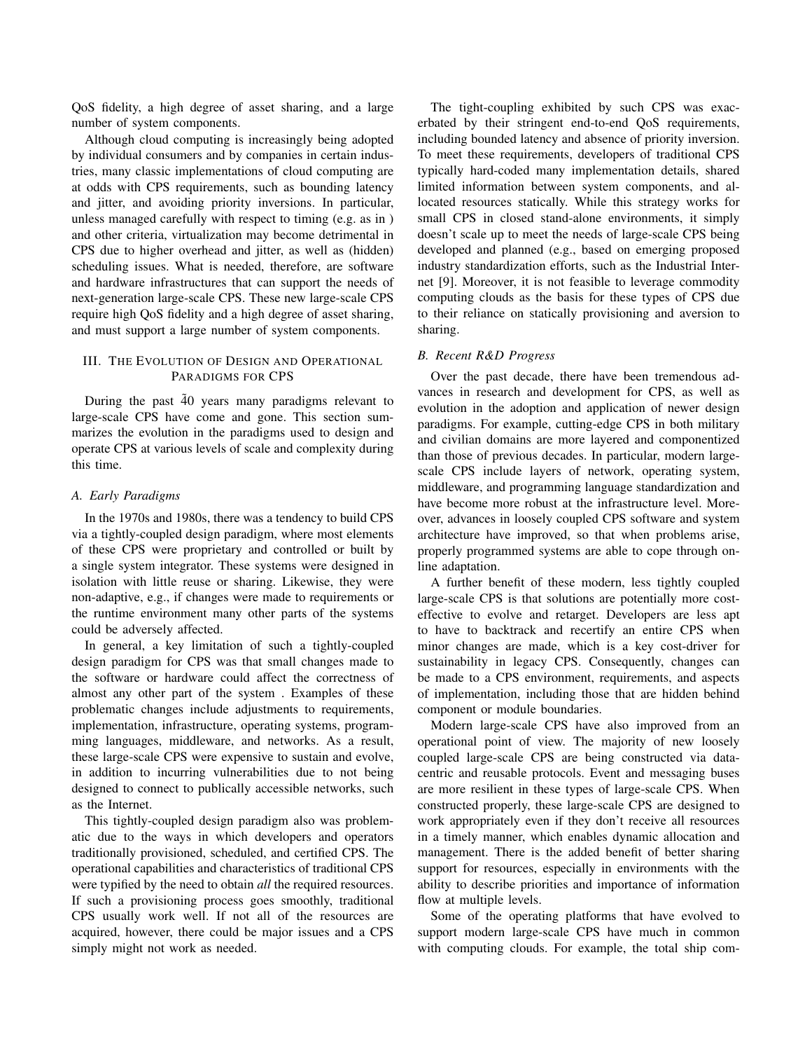QoS fidelity, a high degree of asset sharing, and a large number of system components.

Although cloud computing is increasingly being adopted by individual consumers and by companies in certain industries, many classic implementations of cloud computing are at odds with CPS requirements, such as bounding latency and jitter, and avoiding priority inversions. In particular, unless managed carefully with respect to timing (e.g. as in ) and other criteria, virtualization may become detrimental in CPS due to higher overhead and jitter, as well as (hidden) scheduling issues. What is needed, therefore, are software and hardware infrastructures that can support the needs of next-generation large-scale CPS. These new large-scale CPS require high QoS fidelity and a high degree of asset sharing, and must support a large number of system components.

## III. THE EVOLUTION OF DESIGN AND OPERATIONAL PARADIGMS FOR CPS

During the past  $40$  years many paradigms relevant to large-scale CPS have come and gone. This section summarizes the evolution in the paradigms used to design and operate CPS at various levels of scale and complexity during this time.

### *A. Early Paradigms*

In the 1970s and 1980s, there was a tendency to build CPS via a tightly-coupled design paradigm, where most elements of these CPS were proprietary and controlled or built by a single system integrator. These systems were designed in isolation with little reuse or sharing. Likewise, they were non-adaptive, e.g., if changes were made to requirements or the runtime environment many other parts of the systems could be adversely affected.

In general, a key limitation of such a tightly-coupled design paradigm for CPS was that small changes made to the software or hardware could affect the correctness of almost any other part of the system . Examples of these problematic changes include adjustments to requirements, implementation, infrastructure, operating systems, programming languages, middleware, and networks. As a result, these large-scale CPS were expensive to sustain and evolve, in addition to incurring vulnerabilities due to not being designed to connect to publically accessible networks, such as the Internet.

This tightly-coupled design paradigm also was problematic due to the ways in which developers and operators traditionally provisioned, scheduled, and certified CPS. The operational capabilities and characteristics of traditional CPS were typified by the need to obtain *all* the required resources. If such a provisioning process goes smoothly, traditional CPS usually work well. If not all of the resources are acquired, however, there could be major issues and a CPS simply might not work as needed.

The tight-coupling exhibited by such CPS was exacerbated by their stringent end-to-end QoS requirements, including bounded latency and absence of priority inversion. To meet these requirements, developers of traditional CPS typically hard-coded many implementation details, shared limited information between system components, and allocated resources statically. While this strategy works for small CPS in closed stand-alone environments, it simply doesn't scale up to meet the needs of large-scale CPS being developed and planned (e.g., based on emerging proposed industry standardization efforts, such as the Industrial Internet [9]. Moreover, it is not feasible to leverage commodity computing clouds as the basis for these types of CPS due to their reliance on statically provisioning and aversion to sharing.

#### *B. Recent R&D Progress*

Over the past decade, there have been tremendous advances in research and development for CPS, as well as evolution in the adoption and application of newer design paradigms. For example, cutting-edge CPS in both military and civilian domains are more layered and componentized than those of previous decades. In particular, modern largescale CPS include layers of network, operating system, middleware, and programming language standardization and have become more robust at the infrastructure level. Moreover, advances in loosely coupled CPS software and system architecture have improved, so that when problems arise, properly programmed systems are able to cope through online adaptation.

A further benefit of these modern, less tightly coupled large-scale CPS is that solutions are potentially more costeffective to evolve and retarget. Developers are less apt to have to backtrack and recertify an entire CPS when minor changes are made, which is a key cost-driver for sustainability in legacy CPS. Consequently, changes can be made to a CPS environment, requirements, and aspects of implementation, including those that are hidden behind component or module boundaries.

Modern large-scale CPS have also improved from an operational point of view. The majority of new loosely coupled large-scale CPS are being constructed via datacentric and reusable protocols. Event and messaging buses are more resilient in these types of large-scale CPS. When constructed properly, these large-scale CPS are designed to work appropriately even if they don't receive all resources in a timely manner, which enables dynamic allocation and management. There is the added benefit of better sharing support for resources, especially in environments with the ability to describe priorities and importance of information flow at multiple levels.

Some of the operating platforms that have evolved to support modern large-scale CPS have much in common with computing clouds. For example, the total ship com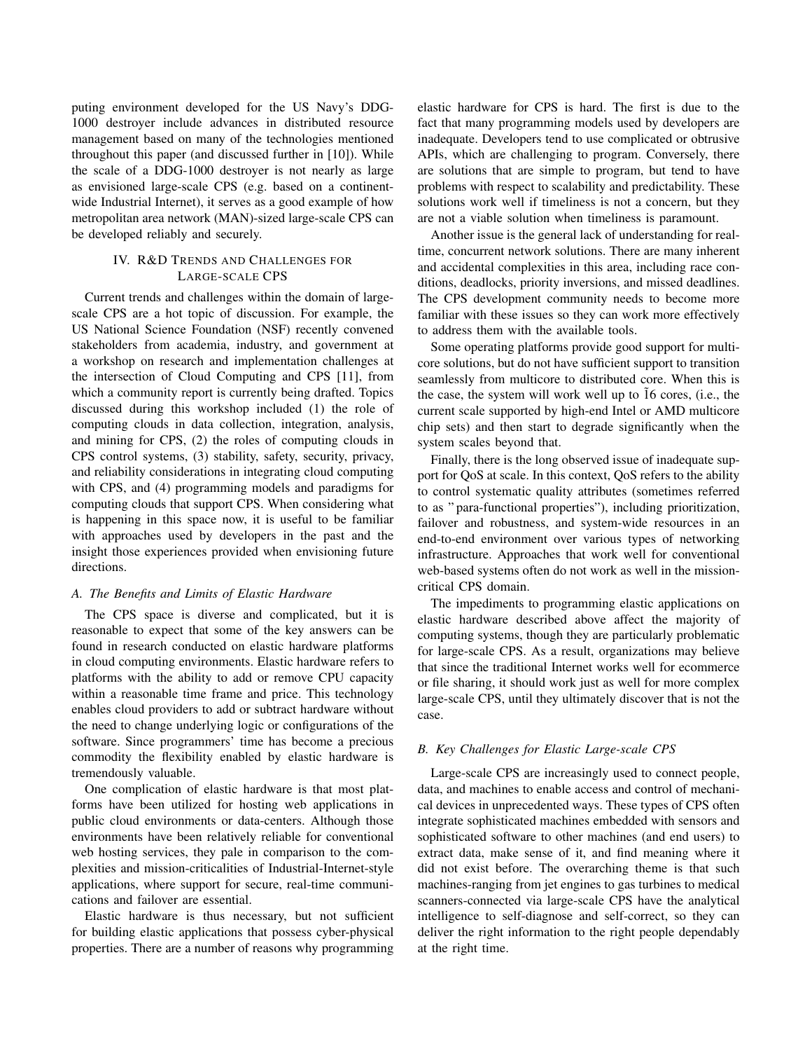puting environment developed for the US Navy's DDG-1000 destroyer include advances in distributed resource management based on many of the technologies mentioned throughout this paper (and discussed further in [10]). While the scale of a DDG-1000 destroyer is not nearly as large as envisioned large-scale CPS (e.g. based on a continentwide Industrial Internet), it serves as a good example of how metropolitan area network (MAN)-sized large-scale CPS can be developed reliably and securely.

## IV. R&D TRENDS AND CHALLENGES FOR LARGE-SCALE CPS

Current trends and challenges within the domain of largescale CPS are a hot topic of discussion. For example, the US National Science Foundation (NSF) recently convened stakeholders from academia, industry, and government at a workshop on research and implementation challenges at the intersection of Cloud Computing and CPS [11], from which a community report is currently being drafted. Topics discussed during this workshop included (1) the role of computing clouds in data collection, integration, analysis, and mining for CPS, (2) the roles of computing clouds in CPS control systems, (3) stability, safety, security, privacy, and reliability considerations in integrating cloud computing with CPS, and (4) programming models and paradigms for computing clouds that support CPS. When considering what is happening in this space now, it is useful to be familiar with approaches used by developers in the past and the insight those experiences provided when envisioning future directions.

## *A. The Benefits and Limits of Elastic Hardware*

The CPS space is diverse and complicated, but it is reasonable to expect that some of the key answers can be found in research conducted on elastic hardware platforms in cloud computing environments. Elastic hardware refers to platforms with the ability to add or remove CPU capacity within a reasonable time frame and price. This technology enables cloud providers to add or subtract hardware without the need to change underlying logic or configurations of the software. Since programmers' time has become a precious commodity the flexibility enabled by elastic hardware is tremendously valuable.

One complication of elastic hardware is that most platforms have been utilized for hosting web applications in public cloud environments or data-centers. Although those environments have been relatively reliable for conventional web hosting services, they pale in comparison to the complexities and mission-criticalities of Industrial-Internet-style applications, where support for secure, real-time communications and failover are essential.

Elastic hardware is thus necessary, but not sufficient for building elastic applications that possess cyber-physical properties. There are a number of reasons why programming elastic hardware for CPS is hard. The first is due to the fact that many programming models used by developers are inadequate. Developers tend to use complicated or obtrusive APIs, which are challenging to program. Conversely, there are solutions that are simple to program, but tend to have problems with respect to scalability and predictability. These solutions work well if timeliness is not a concern, but they are not a viable solution when timeliness is paramount.

Another issue is the general lack of understanding for realtime, concurrent network solutions. There are many inherent and accidental complexities in this area, including race conditions, deadlocks, priority inversions, and missed deadlines. The CPS development community needs to become more familiar with these issues so they can work more effectively to address them with the available tools.

Some operating platforms provide good support for multicore solutions, but do not have sufficient support to transition seamlessly from multicore to distributed core. When this is the case, the system will work well up to  $16$  cores, (i.e., the current scale supported by high-end Intel or AMD multicore chip sets) and then start to degrade significantly when the system scales beyond that.

Finally, there is the long observed issue of inadequate support for QoS at scale. In this context, QoS refers to the ability to control systematic quality attributes (sometimes referred to as " para-functional properties"), including prioritization, failover and robustness, and system-wide resources in an end-to-end environment over various types of networking infrastructure. Approaches that work well for conventional web-based systems often do not work as well in the missioncritical CPS domain.

The impediments to programming elastic applications on elastic hardware described above affect the majority of computing systems, though they are particularly problematic for large-scale CPS. As a result, organizations may believe that since the traditional Internet works well for ecommerce or file sharing, it should work just as well for more complex large-scale CPS, until they ultimately discover that is not the case.

#### *B. Key Challenges for Elastic Large-scale CPS*

Large-scale CPS are increasingly used to connect people, data, and machines to enable access and control of mechanical devices in unprecedented ways. These types of CPS often integrate sophisticated machines embedded with sensors and sophisticated software to other machines (and end users) to extract data, make sense of it, and find meaning where it did not exist before. The overarching theme is that such machines-ranging from jet engines to gas turbines to medical scanners-connected via large-scale CPS have the analytical intelligence to self-diagnose and self-correct, so they can deliver the right information to the right people dependably at the right time.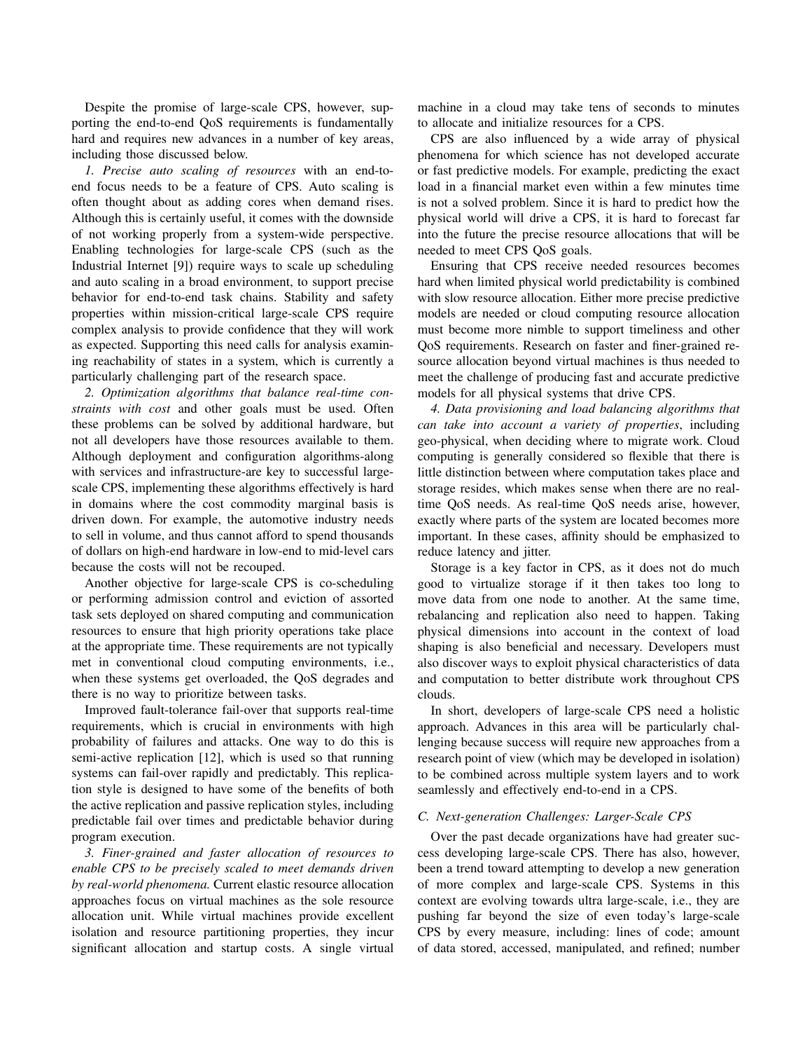Despite the promise of large-scale CPS, however, supporting the end-to-end QoS requirements is fundamentally hard and requires new advances in a number of key areas, including those discussed below.

*1. Precise auto scaling of resources* with an end-toend focus needs to be a feature of CPS. Auto scaling is often thought about as adding cores when demand rises. Although this is certainly useful, it comes with the downside of not working properly from a system-wide perspective. Enabling technologies for large-scale CPS (such as the Industrial Internet [9]) require ways to scale up scheduling and auto scaling in a broad environment, to support precise behavior for end-to-end task chains. Stability and safety properties within mission-critical large-scale CPS require complex analysis to provide confidence that they will work as expected. Supporting this need calls for analysis examining reachability of states in a system, which is currently a particularly challenging part of the research space.

*2. Optimization algorithms that balance real-time constraints with cost* and other goals must be used. Often these problems can be solved by additional hardware, but not all developers have those resources available to them. Although deployment and configuration algorithms-along with services and infrastructure-are key to successful largescale CPS, implementing these algorithms effectively is hard in domains where the cost commodity marginal basis is driven down. For example, the automotive industry needs to sell in volume, and thus cannot afford to spend thousands of dollars on high-end hardware in low-end to mid-level cars because the costs will not be recouped.

Another objective for large-scale CPS is co-scheduling or performing admission control and eviction of assorted task sets deployed on shared computing and communication resources to ensure that high priority operations take place at the appropriate time. These requirements are not typically met in conventional cloud computing environments, i.e., when these systems get overloaded, the QoS degrades and there is no way to prioritize between tasks.

Improved fault-tolerance fail-over that supports real-time requirements, which is crucial in environments with high probability of failures and attacks. One way to do this is semi-active replication [12], which is used so that running systems can fail-over rapidly and predictably. This replication style is designed to have some of the benefits of both the active replication and passive replication styles, including predictable fail over times and predictable behavior during program execution.

*3. Finer-grained and faster allocation of resources to enable CPS to be precisely scaled to meet demands driven by real-world phenomena.* Current elastic resource allocation approaches focus on virtual machines as the sole resource allocation unit. While virtual machines provide excellent isolation and resource partitioning properties, they incur significant allocation and startup costs. A single virtual machine in a cloud may take tens of seconds to minutes to allocate and initialize resources for a CPS.

CPS are also influenced by a wide array of physical phenomena for which science has not developed accurate or fast predictive models. For example, predicting the exact load in a financial market even within a few minutes time is not a solved problem. Since it is hard to predict how the physical world will drive a CPS, it is hard to forecast far into the future the precise resource allocations that will be needed to meet CPS QoS goals.

Ensuring that CPS receive needed resources becomes hard when limited physical world predictability is combined with slow resource allocation. Either more precise predictive models are needed or cloud computing resource allocation must become more nimble to support timeliness and other QoS requirements. Research on faster and finer-grained resource allocation beyond virtual machines is thus needed to meet the challenge of producing fast and accurate predictive models for all physical systems that drive CPS.

*4. Data provisioning and load balancing algorithms that can take into account a variety of properties*, including geo-physical, when deciding where to migrate work. Cloud computing is generally considered so flexible that there is little distinction between where computation takes place and storage resides, which makes sense when there are no realtime QoS needs. As real-time QoS needs arise, however, exactly where parts of the system are located becomes more important. In these cases, affinity should be emphasized to reduce latency and jitter.

Storage is a key factor in CPS, as it does not do much good to virtualize storage if it then takes too long to move data from one node to another. At the same time, rebalancing and replication also need to happen. Taking physical dimensions into account in the context of load shaping is also beneficial and necessary. Developers must also discover ways to exploit physical characteristics of data and computation to better distribute work throughout CPS clouds.

In short, developers of large-scale CPS need a holistic approach. Advances in this area will be particularly challenging because success will require new approaches from a research point of view (which may be developed in isolation) to be combined across multiple system layers and to work seamlessly and effectively end-to-end in a CPS.

#### *C. Next-generation Challenges: Larger-Scale CPS*

Over the past decade organizations have had greater success developing large-scale CPS. There has also, however, been a trend toward attempting to develop a new generation of more complex and large-scale CPS. Systems in this context are evolving towards ultra large-scale, i.e., they are pushing far beyond the size of even today's large-scale CPS by every measure, including: lines of code; amount of data stored, accessed, manipulated, and refined; number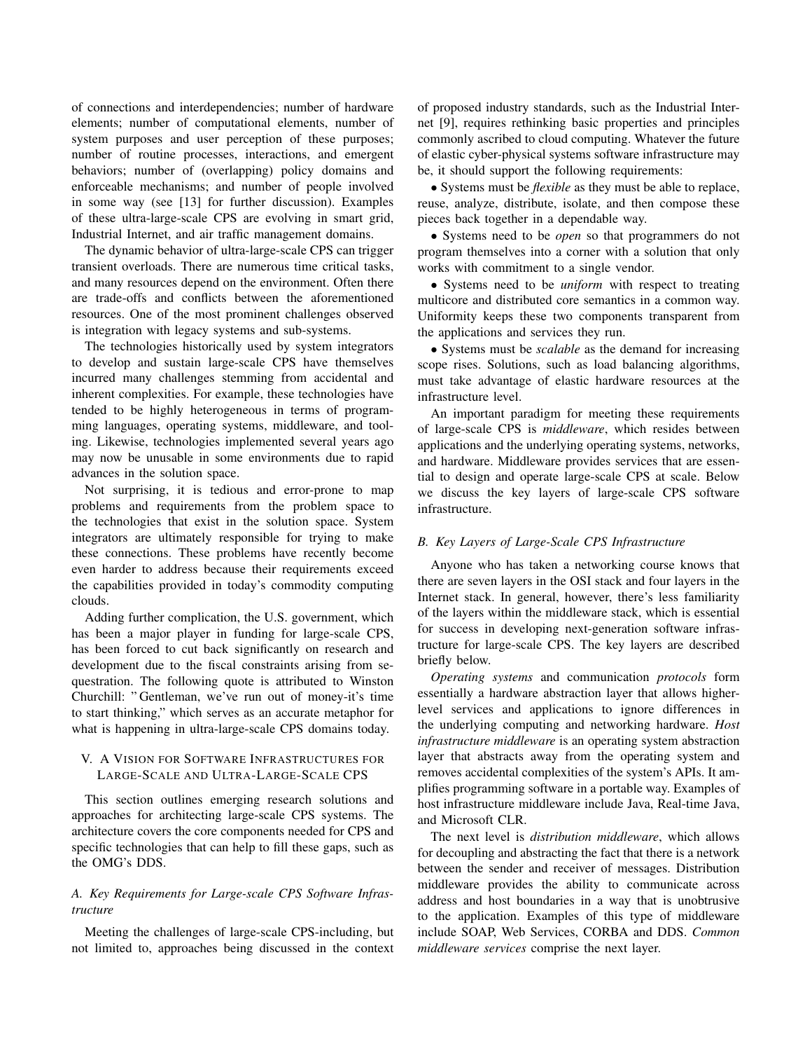of connections and interdependencies; number of hardware elements; number of computational elements, number of system purposes and user perception of these purposes; number of routine processes, interactions, and emergent behaviors; number of (overlapping) policy domains and enforceable mechanisms; and number of people involved in some way (see [13] for further discussion). Examples of these ultra-large-scale CPS are evolving in smart grid, Industrial Internet, and air traffic management domains.

The dynamic behavior of ultra-large-scale CPS can trigger transient overloads. There are numerous time critical tasks, and many resources depend on the environment. Often there are trade-offs and conflicts between the aforementioned resources. One of the most prominent challenges observed is integration with legacy systems and sub-systems.

The technologies historically used by system integrators to develop and sustain large-scale CPS have themselves incurred many challenges stemming from accidental and inherent complexities. For example, these technologies have tended to be highly heterogeneous in terms of programming languages, operating systems, middleware, and tooling. Likewise, technologies implemented several years ago may now be unusable in some environments due to rapid advances in the solution space.

Not surprising, it is tedious and error-prone to map problems and requirements from the problem space to the technologies that exist in the solution space. System integrators are ultimately responsible for trying to make these connections. These problems have recently become even harder to address because their requirements exceed the capabilities provided in today's commodity computing clouds.

Adding further complication, the U.S. government, which has been a major player in funding for large-scale CPS, has been forced to cut back significantly on research and development due to the fiscal constraints arising from sequestration. The following quote is attributed to Winston Churchill: " Gentleman, we've run out of money-it's time to start thinking," which serves as an accurate metaphor for what is happening in ultra-large-scale CPS domains today.

## V. A VISION FOR SOFTWARE INFRASTRUCTURES FOR LARGE-SCALE AND ULTRA-LARGE-SCALE CPS

This section outlines emerging research solutions and approaches for architecting large-scale CPS systems. The architecture covers the core components needed for CPS and specific technologies that can help to fill these gaps, such as the OMG's DDS.

## *A. Key Requirements for Large-scale CPS Software Infrastructure*

Meeting the challenges of large-scale CPS-including, but not limited to, approaches being discussed in the context of proposed industry standards, such as the Industrial Internet [9], requires rethinking basic properties and principles commonly ascribed to cloud computing. Whatever the future of elastic cyber-physical systems software infrastructure may be, it should support the following requirements:

• Systems must be *flexible* as they must be able to replace, reuse, analyze, distribute, isolate, and then compose these pieces back together in a dependable way.

• Systems need to be *open* so that programmers do not program themselves into a corner with a solution that only works with commitment to a single vendor.

• Systems need to be *uniform* with respect to treating multicore and distributed core semantics in a common way. Uniformity keeps these two components transparent from the applications and services they run.

• Systems must be *scalable* as the demand for increasing scope rises. Solutions, such as load balancing algorithms, must take advantage of elastic hardware resources at the infrastructure level.

An important paradigm for meeting these requirements of large-scale CPS is *middleware*, which resides between applications and the underlying operating systems, networks, and hardware. Middleware provides services that are essential to design and operate large-scale CPS at scale. Below we discuss the key layers of large-scale CPS software infrastructure.

#### *B. Key Layers of Large-Scale CPS Infrastructure*

Anyone who has taken a networking course knows that there are seven layers in the OSI stack and four layers in the Internet stack. In general, however, there's less familiarity of the layers within the middleware stack, which is essential for success in developing next-generation software infrastructure for large-scale CPS. The key layers are described briefly below.

*Operating systems* and communication *protocols* form essentially a hardware abstraction layer that allows higherlevel services and applications to ignore differences in the underlying computing and networking hardware. *Host infrastructure middleware* is an operating system abstraction layer that abstracts away from the operating system and removes accidental complexities of the system's APIs. It amplifies programming software in a portable way. Examples of host infrastructure middleware include Java, Real-time Java, and Microsoft CLR.

The next level is *distribution middleware*, which allows for decoupling and abstracting the fact that there is a network between the sender and receiver of messages. Distribution middleware provides the ability to communicate across address and host boundaries in a way that is unobtrusive to the application. Examples of this type of middleware include SOAP, Web Services, CORBA and DDS. *Common middleware services* comprise the next layer.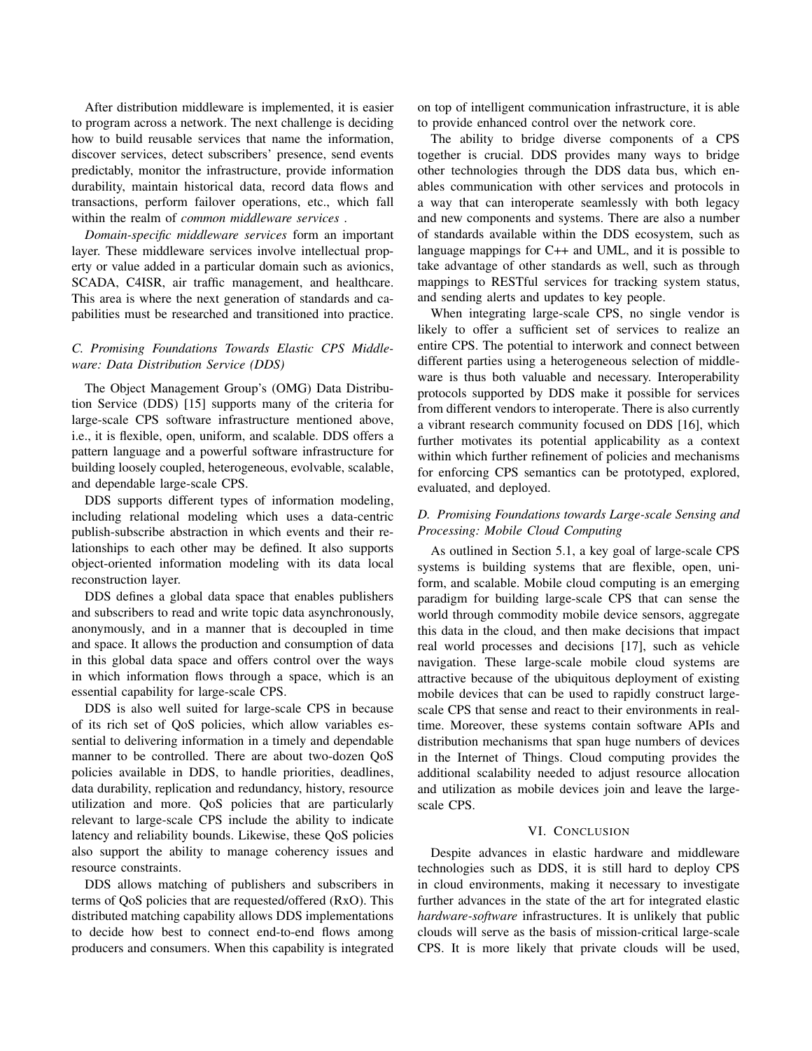After distribution middleware is implemented, it is easier to program across a network. The next challenge is deciding how to build reusable services that name the information, discover services, detect subscribers' presence, send events predictably, monitor the infrastructure, provide information durability, maintain historical data, record data flows and transactions, perform failover operations, etc., which fall within the realm of *common middleware services* .

*Domain-specific middleware services* form an important layer. These middleware services involve intellectual property or value added in a particular domain such as avionics, SCADA, C4ISR, air traffic management, and healthcare. This area is where the next generation of standards and capabilities must be researched and transitioned into practice.

## *C. Promising Foundations Towards Elastic CPS Middleware: Data Distribution Service (DDS)*

The Object Management Group's (OMG) Data Distribution Service (DDS) [15] supports many of the criteria for large-scale CPS software infrastructure mentioned above, i.e., it is flexible, open, uniform, and scalable. DDS offers a pattern language and a powerful software infrastructure for building loosely coupled, heterogeneous, evolvable, scalable, and dependable large-scale CPS.

DDS supports different types of information modeling, including relational modeling which uses a data-centric publish-subscribe abstraction in which events and their relationships to each other may be defined. It also supports object-oriented information modeling with its data local reconstruction layer.

DDS defines a global data space that enables publishers and subscribers to read and write topic data asynchronously, anonymously, and in a manner that is decoupled in time and space. It allows the production and consumption of data in this global data space and offers control over the ways in which information flows through a space, which is an essential capability for large-scale CPS.

DDS is also well suited for large-scale CPS in because of its rich set of QoS policies, which allow variables essential to delivering information in a timely and dependable manner to be controlled. There are about two-dozen QoS policies available in DDS, to handle priorities, deadlines, data durability, replication and redundancy, history, resource utilization and more. QoS policies that are particularly relevant to large-scale CPS include the ability to indicate latency and reliability bounds. Likewise, these QoS policies also support the ability to manage coherency issues and resource constraints.

DDS allows matching of publishers and subscribers in terms of QoS policies that are requested/offered (RxO). This distributed matching capability allows DDS implementations to decide how best to connect end-to-end flows among producers and consumers. When this capability is integrated on top of intelligent communication infrastructure, it is able to provide enhanced control over the network core.

The ability to bridge diverse components of a CPS together is crucial. DDS provides many ways to bridge other technologies through the DDS data bus, which enables communication with other services and protocols in a way that can interoperate seamlessly with both legacy and new components and systems. There are also a number of standards available within the DDS ecosystem, such as language mappings for C++ and UML, and it is possible to take advantage of other standards as well, such as through mappings to RESTful services for tracking system status, and sending alerts and updates to key people.

When integrating large-scale CPS, no single vendor is likely to offer a sufficient set of services to realize an entire CPS. The potential to interwork and connect between different parties using a heterogeneous selection of middleware is thus both valuable and necessary. Interoperability protocols supported by DDS make it possible for services from different vendors to interoperate. There is also currently a vibrant research community focused on DDS [16], which further motivates its potential applicability as a context within which further refinement of policies and mechanisms for enforcing CPS semantics can be prototyped, explored, evaluated, and deployed.

## *D. Promising Foundations towards Large-scale Sensing and Processing: Mobile Cloud Computing*

As outlined in Section 5.1, a key goal of large-scale CPS systems is building systems that are flexible, open, uniform, and scalable. Mobile cloud computing is an emerging paradigm for building large-scale CPS that can sense the world through commodity mobile device sensors, aggregate this data in the cloud, and then make decisions that impact real world processes and decisions [17], such as vehicle navigation. These large-scale mobile cloud systems are attractive because of the ubiquitous deployment of existing mobile devices that can be used to rapidly construct largescale CPS that sense and react to their environments in realtime. Moreover, these systems contain software APIs and distribution mechanisms that span huge numbers of devices in the Internet of Things. Cloud computing provides the additional scalability needed to adjust resource allocation and utilization as mobile devices join and leave the largescale CPS.

## VI. CONCLUSION

Despite advances in elastic hardware and middleware technologies such as DDS, it is still hard to deploy CPS in cloud environments, making it necessary to investigate further advances in the state of the art for integrated elastic *hardware-software* infrastructures. It is unlikely that public clouds will serve as the basis of mission-critical large-scale CPS. It is more likely that private clouds will be used,